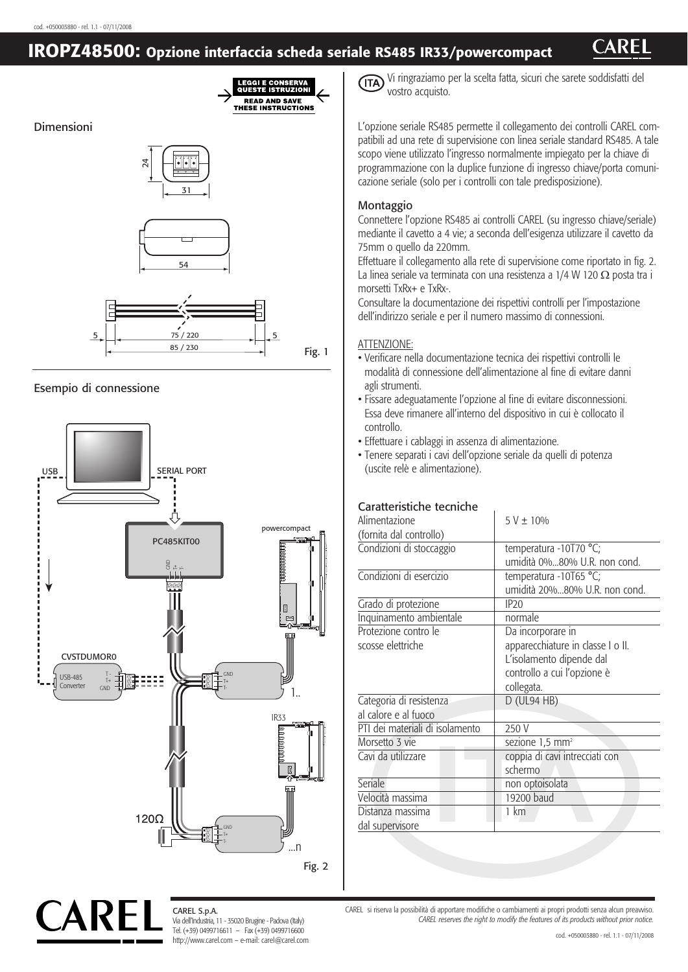## **IROPZ48500: Opzione interfaccia scheda seriale RS485 IR33/powercompact**



### Esempio di connessione



CAREL S.p.A. Via dell'Industria, 11 - 35020 Brugine - Padova (Italy) Tel. (+39) 0499716611 – Fax (+39) 0499716600 http://www.carel.com – e-mail: carel@carel.com Vi ringraziamo per la scelta fatta, sicuri che sarete soddisfatti del vostro acquisto.

L'opzione seriale RS485 permette il collegamento dei controlli CAREL compatibili ad una rete di supervisione con linea seriale standard RS485. A tale scopo viene utilizzato l'ingresso normalmente impiegato per la chiave di programmazione con la duplice funzione di ingresso chiave/porta comunicazione seriale (solo per i controlli con tale predisposizione).

#### Montaggio

Connettere l'opzione RS485 ai controlli CAREL (su ingresso chiave/seriale) mediante il cavetto a 4 vie; a seconda dell'esigenza utilizzare il cavetto da 75mm o quello da 220mm.

Effettuare il collegamento alla rete di supervisione come riportato in fig. 2. La linea seriale va terminata con una resistenza a 1/4 W 120  $\Omega$  posta tra i morsetti TxRx+ e TxRx-.

Consultare la documentazione dei rispettivi controlli per l'impostazione dell'indirizzo seriale e per il numero massimo di connessioni.

#### ATTENZIONE:

- Verificare nella documentazione tecnica dei rispettivi controlli le modalità di connessione dell'alimentazione al fine di evitare danni agli strumenti.
- Fissare adeguatamente l'opzione al fine di evitare disconnessioni. Essa deve rimanere all'interno del dispositivo in cui è collocato il controllo.
- Effettuare i cablaggi in assenza di alimentazione.
- Tenere separati i cavi dell'opzione seriale da quelli di potenza (uscite relè e alimentazione).

#### Caratteristiche tecniche

| Alimentazione                   | $5 V \pm 10\%$                    |
|---------------------------------|-----------------------------------|
| (fornita dal controllo)         |                                   |
| Condizioni di stoccaggio        | temperatura -10T70 °C;            |
|                                 | umidità 0%80% U.R. non cond.      |
| Condizioni di esercizio         | temperatura -10T65 °C;            |
|                                 | umidità 20%80% U.R. non cond.     |
| Grado di protezione             | IP20                              |
| Inquinamento ambientale         | normale                           |
| Protezione contro le            | Da incorporare in                 |
| scosse elettriche               | apparecchiature in classe I o II. |
|                                 | L'isolamento dipende dal          |
|                                 | controllo a cui l'opzione è       |
|                                 | collegata.                        |
| Categoria di resistenza         | $D$ (UL94 HB)                     |
| al calore e al fuoco            |                                   |
| PTI dei materiali di isolamento | 250 V                             |
| Morsetto 3 vie                  | sezione 1,5 mm <sup>2</sup>       |
| Cavi da utilizzare              | coppia di cavi intrecciati con    |
|                                 | schermo                           |
| <b>Seriale</b>                  | non optoisolata                   |
| Velocità massima                | 19200 baud                        |
| Distanza massima                | 1 km                              |
| dal supervisore                 |                                   |

CAREL si riserva la possibilità di apportare modifiche o cambiamenti ai propri prodotti senza alcun preavviso. *CAREL reserves the right to modify the features of its products without prior notice.*